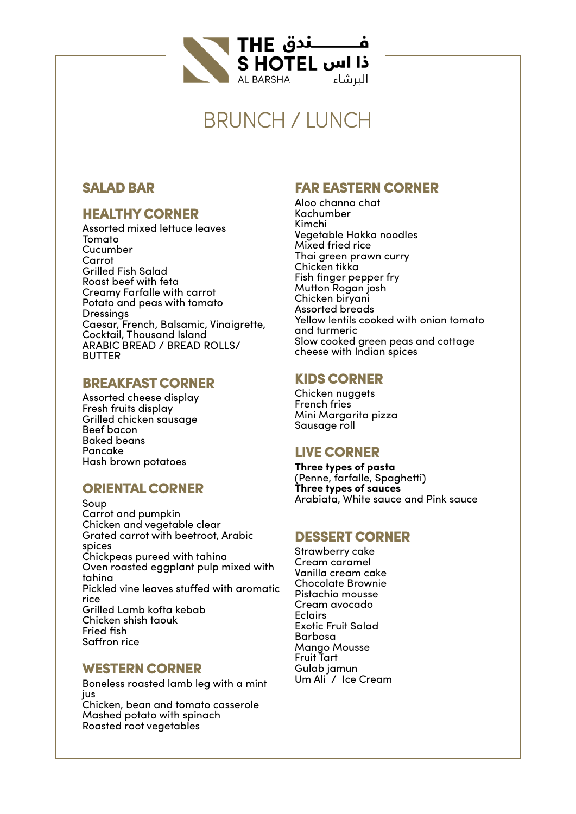

## BRUNCH / LUNCH

#### SALAD BAR

## HEALTHY CORNER

Assorted mixed lettuce leaves Tomato Cucumber Carrot Grilled Fish Salad Roast beef with feta Creamy Farfalle with carrot Potato and peas with tomato **Dressings** Caesar, French, Balsamic, Vinaigrette, Cocktail, Thousand Island ARABIC BREAD / BREAD ROLLS/ BUTTER

#### BREAKFAST CORNER

Assorted cheese display Fresh fruits display Grilled chicken sausage Beef bacon Baked beans Pancake Hash brown potatoes

#### ORIENTAL CORNER

Soup Carrot and pumpkin Chicken and vegetable clear Grated carrot with beetroot, Arabic spices Chickpeas pureed with tahina Oven roasted eggplant pulp mixed with tahina Pickled vine leaves stuffed with aromatic rice Grilled Lamb kofta kebab Chicken shish taouk Fried fish Saffron rice

#### WESTERN CORNER

Boneless roasted lamb leg with a mint jus

Chicken, bean and tomato casserole Mashed potato with spinach Roasted root vegetables

## FAR EASTERN CORNER

Aloo channa chat Kachumber Kimchi Vegetable Hakka noodles Mixed fried rice Thai green prawn curry Chicken tikka Fish finger pepper fry Mutton Rogan josh Chicken biryani Assorted breads Yellow lentils cooked with onion tomato and turmeric Slow cooked green peas and cottage cheese with Indian spices

## KIDS CORNER

Chicken nuggets French fries Mini Margarita pizza Sausage roll

#### LIVE CORNER

**Three types of pasta**  (Penne, farfalle, Spaghetti) **Three types of sauces** Arabiata, White sauce and Pink sauce

#### DESSERT CORNER

Strawberry cake Cream caramel Vanilla cream cake Chocolate Brownie Pistachio mousse Cream avocado Eclairs Exotic Fruit Salad Barbosa Mango Mousse Fruit Tart Gulab jamun Um Ali / Ice Cream